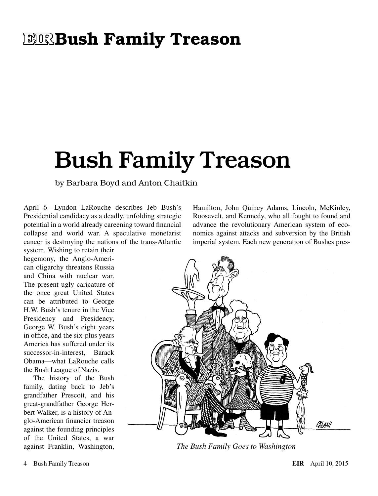### **ELRIS Family Treason**

# Bush Family Treason

by Barbara Boyd and Anton Chaitkin

April 6—Lyndon LaRouche describes Jeb Bush's Presidential candidacy as a deadly, unfolding strategic potential in a world already careening toward financial collapse and world war. A speculative monetarist cancer is destroying the nations of the trans-Atlantic system. Wishing to retain their

hegemony, the Anglo-American oligarchy threatens Russia and China with nuclear war. The present ugly caricature of the once great United States can be attributed to George H.W. Bush's tenure in the Vice Presidency and Presidency, George W. Bush's eight years in office, and the six-plus years America has suffered under its successor-in-interest, Barack Obama—what LaRouche calls the Bush League of Nazis.

The history of the Bush family, dating back to Jeb's grandfather Prescott, and his great-grandfather George Herbert Walker, is a history of Anglo-American financier treason against the founding principles of the United States, a war against Franklin, Washington, Hamilton, John Quincy Adams, Lincoln, McKinley, Roosevelt, and Kennedy, who all fought to found and advance the revolutionary American system of economics against attacks and subversion by the British imperial system. Each new generation of Bushes pres-



*The Bush Family Goes to Washington*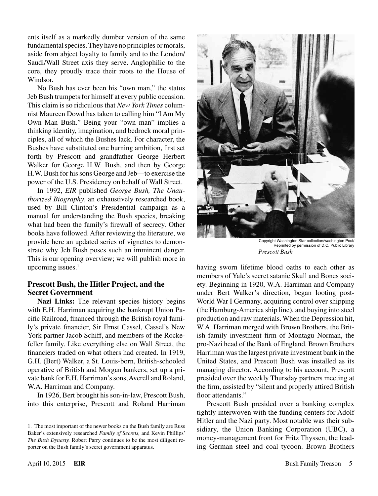ents itself as a markedly dumber version of the same fundamental species. They have no principles or morals, aside from abject loyalty to family and to the London/ Saudi/Wall Street axis they serve. Anglophilic to the core, they proudly trace their roots to the House of Windsor.

No Bush has ever been his "own man," the status Jeb Bush trumpets for himself at every public occasion. This claim is so ridiculous that *New York Times* columnist Maureen Dowd has taken to calling him "I Am My Own Man Bush." Being your "own man" implies a thinking identity, imagination, and bedrock moral principles, all of which the Bushes lack. For character, the Bushes have substituted one burning ambition, first set forth by Prescott and grandfather George Herbert Walker for George H.W. Bush, and then by George H.W. Bush for his sons George and Jeb—to exercise the power of the U.S. Presidency on behalf of Wall Street.

In 1992, *EIR* published *George Bush, The Unauthorized Biography*, an exhaustively researched book, used by Bill Clinton's Presidential campaign as a manual for understanding the Bush species, breaking what had been the family's firewall of secrecy. Other books have followed. After reviewing the literature, we provide here an updated series of vignettes to demonstrate why Jeb Bush poses such an imminent danger. This is our opening overview; we will publish more in upcoming issues. $<sup>1</sup>$ </sup>

#### **Prescott Bush, the Hitler Project, and the Secret Government**

Nazi Links: The relevant species history begins with E.H. Harriman acquiring the bankrupt Union Pacific Railroad, financed through the British royal family's private financier, Sir Ernst Cassel, Cassel's New York partner Jacob Schiff, and members of the Rockefeller family. Like everything else on Wall Street, the financiers traded on what others had created. In 1919, G.H. (Bert) Walker, a St. Louis-born, British-schooled operative of British and Morgan bankers, set up a private bank for E.H. Harriman's sons, Averell and Roland, W.A. Harriman and Company.

In 1926, Bert brought his son-in-law, Prescott Bush, into this enterprise, Prescott and Roland Harriman



Copyright Washington Star collection/washington Post/ Reprinted by permission of D.C. Public Library *Prescott Bush*

having sworn lifetime blood oaths to each other as members of Yale's secret satanic Skull and Bones society. Beginning in 1920, W.A. Harriman and Company under Bert Walker's direction, began looting post-World War I Germany, acquiring control over shipping (the Hamburg-America ship line), and buying into steel production and raw materials. When the Depression hit, W.A. Harriman merged with Brown Brothers, the British family investment firm of Montagu Norman, the pro-Nazi head of the Bank of England. Brown Brothers Harriman was the largest private investment bank in the United States, and Prescott Bush was installed as its managing director. According to his account, Prescott presided over the weekly Thursday partners meeting at the firm, assisted by "silent and properly attired British floor attendants."

Prescott Bush presided over a banking complex tightly interwoven with the funding centers for Adolf Hitler and the Nazi party. Most notable was their subsidiary, the Union Banking Corporation (UBC), a money-management front for Fritz Thyssen, the leading German steel and coal tycoon. Brown Brothers

<sup>1.</sup> The most important of the newer books on the Bush family are Russ Baker's extensively researched *Family of Secrets,* and Kevin Phillips' *The Bush Dynasty.* Robert Parry continues to be the most diligent reporter on the Bush family's secret government apparatus.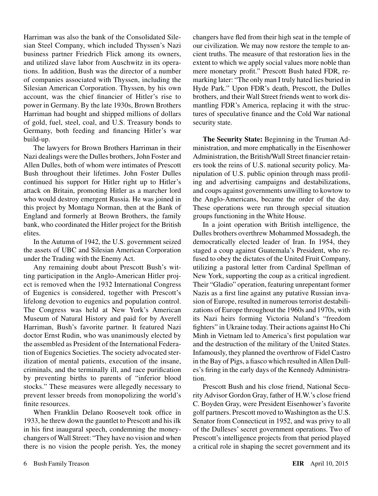Harriman was also the bank of the Consolidated Silesian Steel Company, which included Thyssen's Nazi business partner Friedrich Flick among its owners, and utilized slave labor from Auschwitz in its operations. In addition, Bush was the director of a number of companies associated with Thyssen, including the Silesian American Corporation. Thyssen, by his own account, was the chief financier of Hitler's rise to power in Germany. By the late 1930s, Brown Brothers Harriman had bought and shipped millions of dollars of gold, fuel, steel, coal, and U.S. Treasury bonds to Germany, both feeding and financing Hitler's war build-up.

The lawyers for Brown Brothers Harriman in their Nazi dealings were the Dulles brothers, John Foster and Allen Dulles, both of whom were intimates of Prescott Bush throughout their lifetimes. John Foster Dulles continued his support for Hitler right up to Hitler's attack on Britain, promoting Hitler as a marcher lord who would destroy emergent Russia. He was joined in this project by Montagu Norman, then at the Bank of England and formerly at Brown Brothers, the family bank, who coordinated the Hitler project for the British elites.

In the Autumn of 1942, the U.S. government seized the assets of UBC and Silesian American Corporation under the Trading with the Enemy Act.

Any remaining doubt about Prescott Bush's witting participation in the Anglo-American Hitler project is removed when the 1932 International Congress of Eugenics is considered, together with Prescott's lifelong devotion to eugenics and population control. The Congress was held at New York's American Museum of Natural History and paid for by Averell Harriman, Bush's favorite partner. It featured Nazi doctor Ernst Rudin, who was unanimously elected by the assembled as President of the International Federation of Eugenics Societies. The society advocated sterilization of mental patients, execution of the insane, criminals, and the terminally ill, and race purification by preventing births to parents of "inferior blood stocks." These measures were allegedly necessary to prevent lesser breeds from monopolizing the world's finite resources.

When Franklin Delano Roosevelt took office in 1933, he threw down the gauntlet to Prescott and his ilk in his first inaugural speech, condemning the moneychangers of Wall Street: "They have no vision and when there is no vision the people perish. Yes, the money changers have fled from their high seat in the temple of our civilization. We may now restore the temple to ancient truths. The measure of that restoration lies in the extent to which we apply social values more noble than mere monetary profit." Prescott Bush hated FDR, remarking later: "The only man I truly hated lies buried in Hyde Park." Upon FDR's death, Prescott, the Dulles brothers, and their Wall Street friends went to work dismantling FDR's America, replacing it with the structures of speculative finance and the Cold War national security state.

**The Security State:** Beginning in the Truman Administration, and more emphatically in the Eisenhower Administration, the British/Wall Street financier retainers took the reins of U.S. national security policy. Manipulation of U.S. public opinion through mass profiling and advertising campaigns and destabilizations, and coups against governments unwilling to kowtow to the Anglo-Americans, became the order of the day. These operations were run through special situation groups functioning in the White House.

In a joint operation with British intelligence, the Dulles brothers overthrew Mohammed Mossadegh, the democratically elected leader of Iran. In 1954, they staged a coup against Guatemala's President, who refused to obey the dictates of the United Fruit Company, utilizing a pastoral letter from Cardinal Spellman of New York, supporting the coup as a critical ingredient. Their "Gladio" operation, featuring unrepentant former Nazis as a first line against any putative Russian invasion of Europe, resulted in numerous terrorist destabilizations of Europe throughout the 1960s and 1970s, with its Nazi heirs forming Victoria Nuland's "freedom fighters" in Ukraine today. Their actions against Ho Chi Minh in Vietnam led to America's first population war and the destruction of the military of the United States. Infamously, they planned the overthrow of Fidel Castro in the Bay of Pigs, a fiasco which resulted in Allen Dulles's firing in the early days of the Kennedy Administration.

Prescott Bush and his close friend, National Security Advisor Gordon Gray, father of H.W.'s close friend C. Boyden Gray, were President Eisenhower's favorite golf partners. Prescott moved to Washington as the U.S. Senator from Connecticut in 1952, and was privy to all of the Dulleses' secret government operations. Two of Prescott's intelligence projects from that period played a critical role in shaping the secret government and its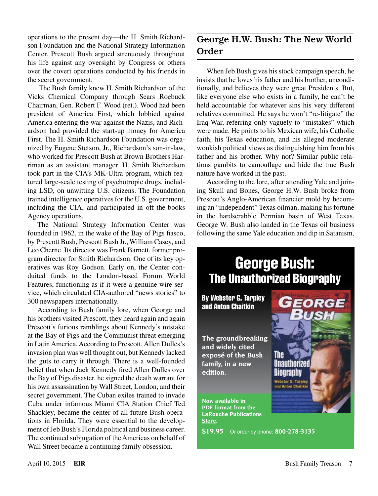operations to the present day—the H. Smith Richardson Foundation and the National Strategy Information Center. Prescott Bush argued strenuously throughout his life against any oversight by Congress or others over the covert operations conducted by his friends in the secret government.

 The Bush family knew H. Smith Richardson of the Vicks Chemical Company through Sears Roebuck Chairman, Gen. Robert F. Wood (ret.). Wood had been president of America First, which lobbied against America entering the war against the Nazis, and Richardson had provided the start-up money for America First. The H. Smith Richardson Foundation was organized by Eugene Stetson, Jr., Richardson's son-in-law, who worked for Prescott Bush at Brown Brothers Harriman as an assistant manager. H. Smith Richardson took part in the CIA's MK-Ultra program, which featured large-scale testing of psychotropic drugs, including LSD, on unwitting U.S. citizens. The Foundation trained intelligence operatives for the U.S. government, including the CIA, and participated in off-the-books Agency operations.

The National Strategy Information Center was founded in 1962, in the wake of the Bay of Pigs fiasco, by Prescott Bush, Prescott Bush Jr., William Casey, and Leo Cherne. Its director was Frank Barnett, former program director for Smith Richardson. One of its key operatives was Roy Godson. Early on, the Center conduited funds to the London-based Forum World Features, functioning as if it were a genuine wire service, which circulated CIA-authored "news stories" to 300 newspapers internationally.

According to Bush family lore, when George and his brothers visited Prescott, they heard again and again Prescott's furious ramblings about Kennedy's mistake at the Bay of Pigs and the Communist threat emerging in Latin America. According to Prescott, Allen Dulles's invasion plan was well thought out, but Kennedy lacked the guts to carry it through. There is a well-founded belief that when Jack Kennedy fired Allen Dulles over the Bay of Pigs disaster, he signed the death warrant for his own assassination by Wall Street, London, and their secret government. The Cuban exiles trained to invade Cuba under infamous Miami CIA Station Chief Ted Shackley, became the center of all future Bush operations in Florida. They were essential to the development of Jeb Bush's Florida political and business career. The continued subjugation of the Americas on behalf of Wall Street became a continuing family obsession.

#### George H.W. Bush: The New World Order

When Jeb Bush gives his stock campaign speech, he insists that he loves his father and his brother, unconditionally, and believes they were great Presidents. But, like everyone else who exists in a family, he can't be held accountable for whatever sins his very different relatives committed. He says he won't "re-litigate" the Iraq War, referring only vaguely to "mistakes" which were made. He points to his Mexican wife, his Catholic faith, his Texas education, and his alleged moderate wonkish political views as distinguishing him from his father and his brother. Why not? Similar public relations gambits to camouflage and hide the true Bush nature have worked in the past.

According to the lore, after attending Yale and joining Skull and Bones, George H.W. Bush broke from Prescott's Anglo-American financier mold by becoming an "independent" Texas oilman, making his fortune in the hardscrabble Permian basin of West Texas. George W. Bush also landed in the Texas oil business following the same Yale education and dip in Satanism,

### George Bush: The Unauthorized Biography

By Webster G. Tarpley and Anton Chaitkin

**The groundbreaking and widely cited exposé of the Bush family, in a new edition.**

The Unauthorize Biography Webster G. Tarpley and Anton Chaitki

EORGE

**Now available in PDF format from the LaRouche Publications Store.**

**\$19.95** Or order by phone: **800-278-3135**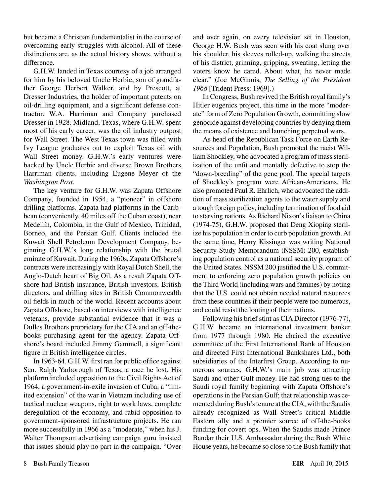but became a Christian fundamentalist in the course of overcoming early struggles with alcohol. All of these distinctions are, as the actual history shows, without a difference.

G.H.W. landed in Texas courtesy of a job arranged for him by his beloved Uncle Herbie, son of grandfather George Herbert Walker, and by Prescott, at Dresser Industries, the holder of important patents on oil-drilling equipment, and a significant defense contractor. W.A. Harriman and Company purchased Dresser in 1928. Midland, Texas, where G.H.W. spent most of his early career, was the oil industry outpost for Wall Street. The West Texas town was filled with Ivy League graduates out to exploit Texas oil with Wall Street money. G.H.W.'s early ventures were backed by Uncle Herbie and diverse Brown Brothers Harriman clients, including Eugene Meyer of the *Washington Post*.

The key venture for G.H.W. was Zapata Offshore Company, founded in 1954, a "pioneer" in offshore drilling platforms. Zapata had platforms in the Caribbean (conveniently, 40 miles off the Cuban coast), near Medellín, Colombia, in the Gulf of Mexico, Trinidad, Borneo, and the Persian Gulf. Clients included the Kuwait Shell Petroleum Development Company, beginning G.H.W.'s long relationship with the brutal emirate of Kuwait. During the 1960s, Zapata Offshore's contracts were increasingly with Royal Dutch Shell, the Anglo-Dutch heart of Big Oil. As a result Zapata Offshore had British insurance, British investors, British directors, and drilling sites in British Commonwealth oil fields in much of the world. Recent accounts about Zapata Offshore, based on interviews with intelligence veterans, provide substantial evidence that it was a Dulles Brothers proprietary for the CIA and an off-thebooks purchasing agent for the agency. Zapata Offshore's board included Jimmy Gammell, a significant figure in British intelligence circles.

In 1963-64, G.H.W. first ran for public office against Sen. Ralph Yarborough of Texas, a race he lost. His platform included opposition to the Civil Rights Act of 1964, a government-in-exile invasion of Cuba, a "limited extension" of the war in Vietnam including use of tactical nuclear weapons, right to work laws, complete deregulation of the economy, and rabid opposition to government-sponsored infrastructure projects. He ran more successfully in 1966 as a "moderate," when his J. Walter Thompson advertising campaign guru insisted that issues should play no part in the campaign. "Over and over again, on every television set in Houston, George H.W. Bush was seen with his coat slung over his shoulder, his sleeves rolled-up, walking the streets of his district, grinning, gripping, sweating, letting the voters know he cared. About what, he never made clear." (Joe McGinnis, *The Selling of the President 1968* [Trident Press: 1969].)

In Congress, Bush revived the British royal family's Hitler eugenics project, this time in the more "moderate" form of Zero Population Growth, committing slow genocide against developing countries by denying them the means of existence and launching perpetual wars.

As head of the Republican Task Force on Earth Resources and Population, Bush promoted the racist William Shockley, who advocated a program of mass sterilization of the unfit and mentally defective to stop the "down-breeding" of the gene pool. The special targets of Shockley's program were African-Americans. He also promoted Paul R. Ehrlich, who advocated the addition of mass sterilization agents to the water supply and a tough foreign policy, including termination of food aid to starving nations. As Richard Nixon's liaison to China (1974-75), G.H.W. proposed that Deng Xioping sterilize his population in order to curb population growth. At the same time, Henry Kissinger was writing National Security Study Memorandum (NSSM) 200, establishing population control as a national security program of the United States. NSSM 200 justified the U.S. commitment to enforcing zero population growth policies on the Third World (including wars and famines) by noting that the U.S. could not obtain needed natural resources from these countries if their people were too numerous, and could resist the looting of their nations.

Following his brief stint as CIA Director (1976-77), G.H.W. became an international investment banker from 1977 through 1980. He chaired the executive committee of the First International Bank of Houston and directed First International Bankshares Ltd., both subsidiaries of the Interfirst Group. According to numerous sources, G.H.W.'s main job was attracting Saudi and other Gulf money. He had strong ties to the Saudi royal family beginning with Zapata Offshore's operations in the Persian Gulf; that relationship was cemented during Bush's tenure at the CIA, with the Saudis already recognized as Wall Street's critical Middle Eastern ally and a premier source of off-the-books funding for covert ops. When the Saudis made Prince Bandar their U.S. Ambassador during the Bush White House years, he became so close to the Bush family that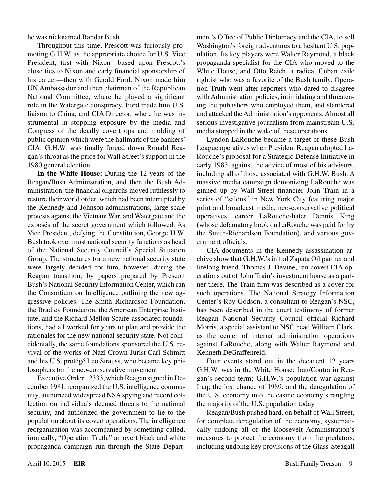he was nicknamed Bandar Bush.

Throughout this time, Prescott was furiously promoting G.H.W. as the appropriate choice for U.S. Vice President, first with Nixon—based upon Prescott's close ties to Nixon and early financial sponsorship of his career—then with Gerald Ford. Nixon made him UN Ambassador and then chairman of the Republican National Committee, where he played a significant role in the Watergate conspiracy. Ford made him U.S. liaison to China, and CIA Director, where he was instrumental in stopping exposure by the media and Congress of the deadly covert ops and molding of public opinion which were the hallmark of the bankers' CIA. G.H.W. was finally forced down Ronald Reagan's throat as the price for Wall Street's support in the 1980 general election.

**In the White House:** During the 12 years of the Reagan/Bush Administration, and then the Bush Administration, the financial oligarchs moved ruthlessly to restore their world order, which had been interrupted by the Kennedy and Johnson administrations, large-scale protests against the Vietnam War, and Watergate and the exposés of the secret government which followed. As Vice President, defying the Constitution, George H.W. Bush took over most national security functions as head of the National Security Council's Special Situation Group. The structures for a new national security state were largely decided for him, however, during the Reagan transition, by papers prepared by Prescott Bush's National Security Information Center, which ran the Consortium on Intelligence outlining the new aggressive policies. The Smith Richardson Foundation, the Bradley Foundation, the American Enterprise Institute, and the Richard Mellon Scaife-associated foundations, had all worked for years to plan and provide the rationales for the new national security state. Not coincidentally, the same foundations sponsored the U.S. revival of the works of Nazi Crown Jurist Carl Schmitt and his U.S. protégé Leo Strauss, who became key philosophers for the neo-conservative movement.

Executive Order 12333, which Reagan signed in December 1981, reorganized the U.S. intelligence community, authorized widespread NSA spying and record collection on individuals deemed threats to the national security, and authorized the government to lie to the population about its covert operations. The intelligence reorganization was accompanied by something called, ironically, "Operation Truth," an overt black and white propaganda campaign run through the State Department's Office of Public Diplomacy and the CIA, to sell Washington's foreign adventures to a hesitant U.S. population. Its key players were Walter Raymond, a black propaganda specialist for the CIA who moved to the White House, and Otto Reich, a radical Cuban exile rightist who was a favorite of the Bush family. Operation Truth went after reporters who dared to disagree with Administration policies, intimidating and threatening the publishers who employed them, and slandered and attacked the Administration's opponents. Almost all serious investigative journalism from mainstream U.S. media stopped in the wake of these operations.

Lyndon LaRouche became a target of these Bush League operatives when President Reagan adopted La-Rouche's proposal for a Strategic Defense Initiative in early 1983, against the advice of most of his advisors, including all of those associated with G.H.W. Bush. A massive media campaign demonizing LaRouche was ginned up by Wall Street financier John Train in a series of "salons" in New York City featuring major print and broadcast media, neo-conservative political operatives, career LaRouche-hater Dennis King (whose defamatory book on LaRouche was paid for by the Smith-Richardson Foundation), and various government officials.

CIA documents in the Kennedy assassination archive show that G.H.W.'s initial Zapata Oil partner and lifelong friend, Thomas J. Devine, ran covert CIA operations out of John Train's investment house as a partner there. The Train firm was described as a cover for such operations. The National Strategy Information Center's Roy Godson, a consultant to Reagan's NSC, has been described in the court testimony of former Reagan National Security Council official Richard Morris, a special assistant to NSC head William Clark, as the center of internal administration operations against LaRouche, along with Walter Raymond and Kenneth DeGraffenreid.

Four events stand out in the decadent 12 years G.H.W. was in the White House: Iran/Contra in Reagan's second term; G.H.W.'s population war against Iraq; the lost chance of 1989; and the deregulation of the U.S. economy into the casino economy strangling the majority of the U.S. population today.

Reagan/Bush pushed hard, on behalf of Wall Street, for complete deregulation of the economy, systematically undoing all of the Roosevelt Administration's measures to protect the economy from the predators, including undoing key provisions of the Glass-Steagall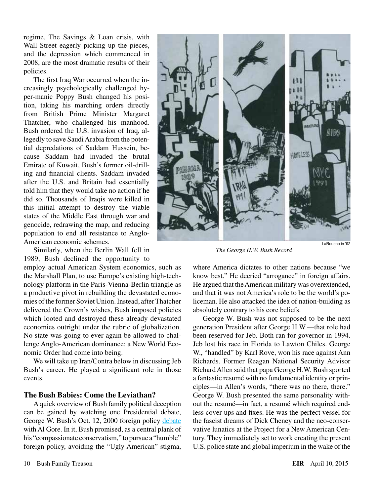regime. The Savings & Loan crisis, with Wall Street eagerly picking up the pieces, and the depression which commenced in 2008, are the most dramatic results of their policies.

The first Iraq War occurred when the increasingly psychologically challenged hyper-manic Poppy Bush changed his position, taking his marching orders directly from British Prime Minister Margaret Thatcher, who challenged his manhood. Bush ordered the U.S. invasion of Iraq, allegedly to save Saudi Arabia from the potential depredations of Saddam Hussein, because Saddam had invaded the brutal Emirate of Kuwait, Bush's former oil-drilling and financial clients. Saddam invaded after the U.S. and Britain had essentially told him that they would take no action if he did so. Thousands of Iraqis were killed in this initial attempt to destroy the viable states of the Middle East through war and genocide, redrawing the map, and reducing population to end all resistance to Anglo-American economic schemes.

Similarly, when the Berlin Wall fell in 1989, Bush declined the opportunity to

employ actual American System economics, such as the Marshall Plan, to use Europe's existing high-technology platform in the Paris-Vienna-Berlin triangle as a productive pivot in rebuilding the devastated economies of the former Soviet Union. Instead, after Thatcher delivered the Crown's wishes, Bush imposed policies which looted and destroyed these already devastated economies outright under the rubric of globalization. No state was going to ever again be allowed to challenge Anglo-American dominance: a New World Economic Order had come into being.

We will take up Iran/Contra below in discussing Jeb Bush's career. He played a significant role in those events.

#### **The Bush Babies: Come the Leviathan?**

A quick overview of Bush family political deception can be gained by watching one Presidential debate, George W. Bush's Oct. 12, 2000 foreign policy [debate](https://www.youtube.com/watch?v=jsvf1HU0KHM) with Al Gore. In it, Bush promised, as a central plank of his "compassionate conservatism," to pursue a "humble" foreign policy, avoiding the "Ugly American" stigma,



*The George H.W. Bush Record*

where America dictates to other nations because "we know best." He decried "arrogance" in foreign affairs. He argued that the American military was overextended, and that it was not America's role to be the world's policeman. He also attacked the idea of nation-building as absolutely contrary to his core beliefs.

George W. Bush was not supposed to be the next generation President after George H.W.—that role had been reserved for Jeb. Both ran for governor in 1994. Jeb lost his race in Florida to Lawton Chiles. George W., "handled" by Karl Rove, won his race against Ann Richards. Former Reagan National Security Advisor Richard Allen said that papa George H.W. Bush sported a fantastic resumé with no fundamental identity or principles—in Allen's words, "there was no there, there." George W. Bush presented the same personality without the resumé—in fact, a resumé which required endless cover-ups and fixes. He was the perfect vessel for the fascist dreams of Dick Cheney and the neo-conservative lunatics at the Project for a New American Century. They immediately set to work creating the present U.S. police state and global imperium in the wake of the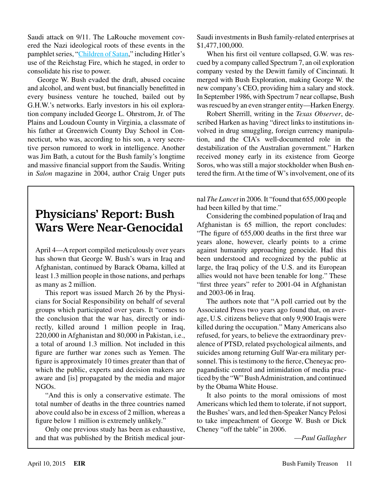Saudi attack on 9/11. The LaRouche movement covered the Nazi ideological roots of these events in the pamphlet series, "[Children of Satan,](http://archive.larouchepac.com/node/15209)" including Hitler's use of the Reichstag Fire, which he staged, in order to consolidate his rise to power.

George W. Bush evaded the draft, abused cocaine and alcohol, and went bust, but financially benefitted in every business venture he touched, bailed out by G.H.W.'s networks. Early investors in his oil exploration company included George L. Ohrstrom, Jr. of The Plains and Loudoun County in Virginia, a classmate of his father at Greenwich County Day School in Connecticut, who was, according to his son, a very secretive person rumored to work in intelligence. Another was Jim Bath, a cutout for the Bush family's longtime and massive financial support from the Saudis. Writing in *Salon* magazine in 2004, author Craig Unger puts

### Physicians' Report: Bush Wars Were Near-Genocidal

April 4—A report compiled meticulously over years has shown that George W. Bush's wars in Iraq and Afghanistan, continued by Barack Obama, killed at least 1.3 million people in those nations, and perhaps as many as 2 million.

This report was issued March 26 by the Physicians for Social Responsibility on behalf of several groups which participated over years. It "comes to the conclusion that the war has, directly or indirectly, killed around 1 million people in Iraq, 220,000 in Afghanistan and 80,000 in Pakistan, i.e., a total of around 1.3 million. Not included in this figure are further war zones such as Yemen. The figure is approximately 10 times greater than that of which the public, experts and decision makers are aware and [is] propagated by the media and major NGOs.

"And this is only a conservative estimate. The total number of deaths in the three countries named above could also be in excess of 2 million, whereas a figure below 1 million is extremely unlikely."

Only one previous study has been as exhaustive, and that was published by the British medical jourSaudi investments in Bush family-related enterprises at \$1,477,100,000.

When his first oil venture collapsed, G.W. was rescued by a company called Spectrum 7, an oil exploration company vested by the Dewitt family of Cincinnati. It merged with Bush Exploration, making George W. the new company's CEO, providing him a salary and stock. In September 1986, with Spectrum 7 near collapse, Bush was rescued by an even stranger entity—Harken Energy.

Robert Sherrill, writing in the *Texas Observer*, described Harken as having "direct links to institutions involved in drug smuggling, foreign currency manipulation, and the CIA's well-documented role in the destabilization of the Australian government." Harken received money early in its existence from George Soros, who was still a major stockholder when Bush entered the firm. At the time of W's involvement, one of its

nal *The Lancet* in 2006. It "found that 655,000 people had been killed by that time."

Considering the combined population of Iraq and Afghanistan is 65 million, the report concludes: "The figure of 655,000 deaths in the first three war years alone, however, clearly points to a crime against humanity approaching genocide. Had this been understood and recognized by the public at large, the Iraq policy of the U.S. and its European allies would not have been tenable for long." These "first three years" refer to 2001-04 in Afghanistan and 2003-06 in Iraq.

The authors note that "A poll carried out by the Associated Press two years ago found that, on average, U.S. citizens believe that only 9,900 Iraqis were killed during the occupation." Many Americans also refused, for years, to believe the extraordinary prevalence of PTSD, related psychological ailments, and suicides among returning Gulf War-era military personnel. This is testimony to the fierce, Cheneyac propagandistic control and intimidation of media practiced by the "W" Bush Administration, and continued by the Obama White House.

It also points to the moral omissions of most Americans which led them to tolerate, if not support, the Bushes' wars, and led then-Speaker Nancy Pelosi to take impeachment of George W. Bush or Dick Cheney "off the table" in 2006.

—*Paul Gallagher*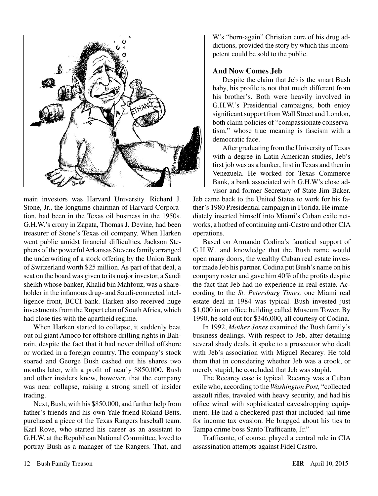

main investors was Harvard University. Richard J. Stone, Jr., the longtime chairman of Harvard Corporation, had been in the Texas oil business in the 1950s. G.H.W.'s crony in Zapata, Thomas J. Devine, had been treasurer of Stone's Texas oil company. When Harken went public amidst financial difficulties, Jackson Stephens of the powerful Arkansas Stevens family arranged the underwriting of a stock offering by the Union Bank of Switzerland worth \$25 million. As part of that deal, a seat on the board was given to its major investor, a Saudi sheikh whose banker, Khalid bin Mahfouz, was a shareholder in the infamous drug- and Saudi-connected intelligence front, BCCI bank. Harken also received huge investments from the Rupert clan of South Africa, which had close ties with the apartheid regime.

When Harken started to collapse, it suddenly beat out oil giant Amoco for offshore drilling rights in Bahrain, despite the fact that it had never drilled offshore or worked in a foreign country. The company's stock soared and George Bush cashed out his shares two months later, with a profit of nearly \$850,000. Bush and other insiders knew, however, that the company was near collapse, raising a strong smell of insider trading.

Next, Bush, with his \$850,000, and further help from father's friends and his own Yale friend Roland Betts, purchased a piece of the Texas Rangers baseball team. Karl Rove, who started his career as an assistant to G.H.W. at the Republican National Committee, loved to portray Bush as a manager of the Rangers. That, and W's "born-again" Christian cure of his drug addictions, provided the story by which this incompetent could be sold to the public.

#### **And Now Comes Jeb**

Despite the claim that Jeb is the smart Bush baby, his profile is not that much different from his brother's. Both were heavily involved in G.H.W.'s Presidential campaigns, both enjoy significant support from Wall Street and London, both claim policies of "compassionate conservatism," whose true meaning is fascism with a democratic face.

After graduating from the University of Texas with a degree in Latin American studies, Jeb's first job was as a banker, first in Texas and then in Venezuela. He worked for Texas Commerce Bank, a bank associated with G.H.W's close advisor and former Secretary of State Jim Baker.

Jeb came back to the United States to work for his father's 1980 Presidential campaign in Florida. He immediately inserted himself into Miami's Cuban exile networks, a hotbed of continuing anti-Castro and other CIA operations.

Based on Armando Codina's fanatical support of G.H.W., and knowledge that the Bush name would open many doors, the wealthy Cuban real estate investor made Jeb his partner. Codina put Bush's name on his company roster and gave him 40% of the profits despite the fact that Jeb had no experience in real estate. According to the *St. Petersburg Times,* one Miami real estate deal in 1984 was typical. Bush invested just \$1,000 in an office building called Museum Tower. By 1990, he sold out for \$346,000, all courtesy of Codina.

In 1992, *Mother Jones* examined the Bush family's business dealings. With respect to Jeb, after detailing several shady deals, it spoke to a prosecutor who dealt with Jeb's association with Miguel Recarey. He told them that in considering whether Jeb was a crook, or merely stupid, he concluded that Jeb was stupid.

The Recarey case is typical. Recarey was a Cuban exile who, according to the *Washington Post,* "collected assault rifles, traveled with heavy security, and had his office wired with sophisticated eavesdropping equipment. He had a checkered past that included jail time for income tax evasion. He bragged about his ties to Tampa crime boss Santo Trafficante, Jr."

Trafficante, of course, played a central role in CIA assassination attempts against Fidel Castro.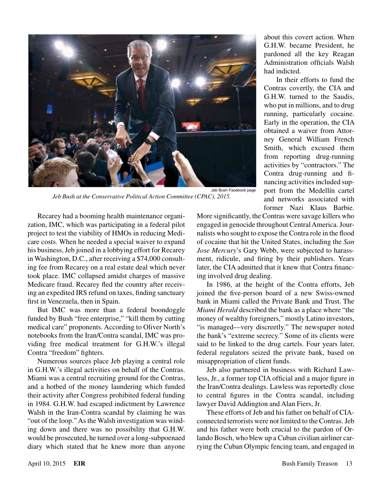

*Jeb Bush at the Conservative Political Action Committee (CPAC), 2015.*

about this covert action. When G.H.W. became President, he pardoned all the key Reagan Administration officials Walsh had indicted.

 In their efforts to fund the Contras covertly, the CIA and G.H.W. turned to the Saudis, who put in millions, and to drug running, particularly cocaine. Early in the operation, the CIA obtained a waiver from Attorney General William French Smith, which excused them from reporting drug-running activities by "contractors." The Contra drug-running and financing activities included support from the Medellín cartel and networks associated with former Nazi Klaus Barbie.

Recarey had a booming health maintenance organization, IMC, which was participating in a federal pilot project to test the viability of HMOs in reducing Medicare costs. When he needed a special waiver to expand his business, Jeb joined in a lobbying effort for Recarey in Washington, D.C., after receiving a \$74,000 consulting fee from Recarey on a real estate deal which never took place. IMC collapsed amidst charges of massive Medicare fraud. Recarey fled the country after receiving an expedited IRS refund on taxes, finding sanctuary first in Venezuela, then in Spain.

But IMC was more than a federal boondoggle funded by Bush "free enterprise," "kill them by cutting medical care" proponents. According to Oliver North's notebooks from the Iran/Contra scandal, IMC was providing free medical treatment for G.H.W.'s illegal Contra "freedom" fighters.

Numerous sources place Jeb playing a central role in G.H.W.'s illegal activities on behalf of the Contras. Miami was a central recruiting ground for the Contras, and a hotbed of the money laundering which funded their activity after Congress prohibited federal funding in 1984. G.H.W. had escaped indictment by Lawrence Walsh in the Iran-Contra scandal by claiming he was "out of the loop." As the Walsh investigation was winding down and there was no possibility that G.H.W. would be prosecuted, he turned over a long-subpoenaed diary which stated that he knew more than anyone

More significantly, the Contras were savage killers who engaged in genocide throughout Central America. Journalists who sought to expose the Contra role in the flood of cocaine that hit the United States, including the *San Jose Mercury*'s Gary Webb, were subjected to harassment, ridicule, and firing by their publishers. Years later, the CIA admitted that it knew that Contra financing involved drug dealing.

In 1986, at the height of the Contra efforts, Jeb joined the five-person board of a new Swiss-owned bank in Miami called the Private Bank and Trust. The *Miami Herald* described the bank as a place where "the money of wealthy foreigners," mostly Latino investors, "is managed—very discreetly." The newspaper noted the bank's "extreme secrecy." Some of its clients were said to be linked to the drug cartels. Four years later, federal regulators seized the private bank, based on misappropriation of client funds.

Jeb also partnered in business with Richard Lawless, Jr., a former top CIA official and a major figure in the Iran/Contra dealings. Lawless was reportedly close to central figures in the Contra scandal, including lawyer David Addington and Alan Fiers, Jr.

These efforts of Jeb and his father on behalf of CIAconnected terrorists were not limited to the Contras. Jeb and his father were both crucial to the pardon of Orlando Bosch, who blew up a Cuban civilian airliner carrying the Cuban Olympic fencing team, and engaged in